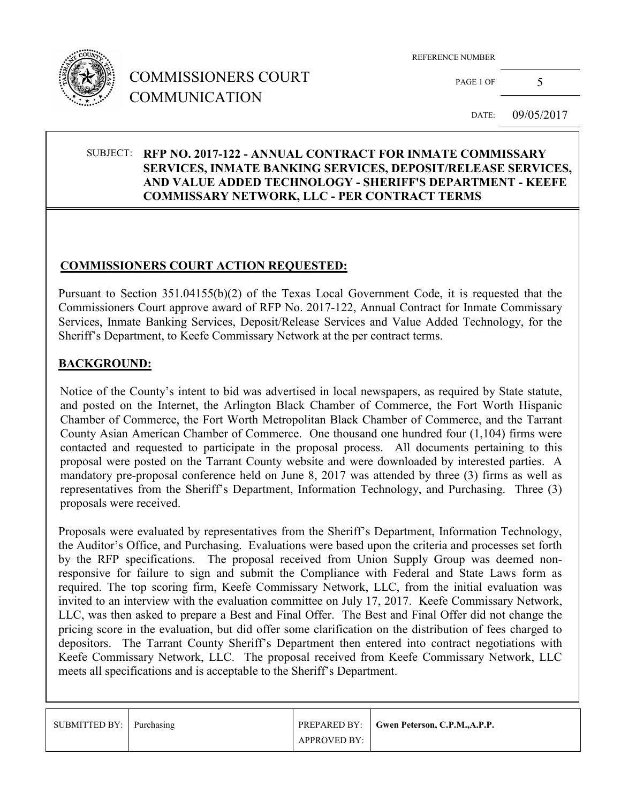

# COMMISSIONERS COURT COMMUNICATION

REFERENCE NUMBER

PAGE 1 OF  $5$ 

DATE: 09/05/2017

### SUBJECT: **RFP NO. 2017-122 - ANNUAL CONTRACT FOR INMATE COMMISSARY SERVICES, INMATE BANKING SERVICES, DEPOSIT/RELEASE SERVICES, AND VALUE ADDED TECHNOLOGY - SHERIFF'S DEPARTMENT - KEEFE COMMISSARY NETWORK, LLC - PER CONTRACT TERMS**

### **COMMISSIONERS COURT ACTION REQUESTED:**

Pursuant to Section 351.04155(b)(2) of the Texas Local Government Code, it is requested that the Commissioners Court approve award of RFP No. 2017-122, Annual Contract for Inmate Commissary Services, Inmate Banking Services, Deposit/Release Services and Value Added Technology, for the Sheriff's Department, to Keefe Commissary Network at the per contract terms.

### **BACKGROUND:**

Notice of the County's intent to bid was advertised in local newspapers, as required by State statute, and posted on the Internet, the Arlington Black Chamber of Commerce, the Fort Worth Hispanic Chamber of Commerce, the Fort Worth Metropolitan Black Chamber of Commerce, and the Tarrant County Asian American Chamber of Commerce. One thousand one hundred four (1,104) firms were contacted and requested to participate in the proposal process. All documents pertaining to this proposal were posted on the Tarrant County website and were downloaded by interested parties. A mandatory pre-proposal conference held on June 8, 2017 was attended by three (3) firms as well as representatives from the Sheriff's Department, Information Technology, and Purchasing. Three (3) proposals were received.

Proposals were evaluated by representatives from the Sheriff's Department, Information Technology, the Auditor's Office, and Purchasing. Evaluations were based upon the criteria and processes set forth by the RFP specifications. The proposal received from Union Supply Group was deemed nonresponsive for failure to sign and submit the Compliance with Federal and State Laws form as required. The top scoring firm, Keefe Commissary Network, LLC, from the initial evaluation was invited to an interview with the evaluation committee on July 17, 2017. Keefe Commissary Network, LLC, was then asked to prepare a Best and Final Offer. The Best and Final Offer did not change the pricing score in the evaluation, but did offer some clarification on the distribution of fees charged to depositors. The Tarrant County Sheriff's Department then entered into contract negotiations with Keefe Commissary Network, LLC. The proposal received from Keefe Commissary Network, LLC meets all specifications and is acceptable to the Sheriff's Department.

| SUBMITTED BY: Purchasing |                     | <b>PREPARED BY:</b> Gwen Peterson, C.P.M., A.P.P. |
|--------------------------|---------------------|---------------------------------------------------|
|                          | <b>APPROVED BY:</b> |                                                   |